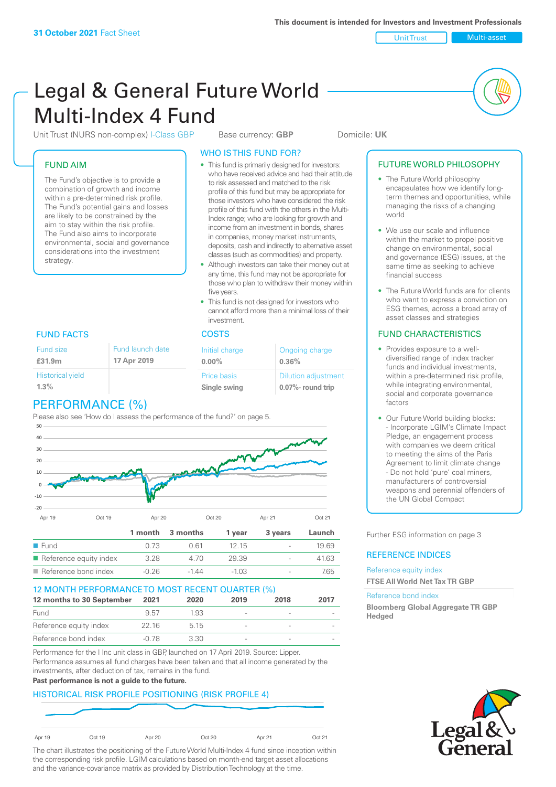Unit Trust Nulti-asset

# Legal & General Future World Multi-Index 4 Fund

Unit Trust (NURS non-complex) I-Class GBP Base currency: **GBP** Domicile: UK

#### FUND AIM

The Fund's objective is to provide a combination of growth and income within a pre-determined risk profile. The Fund's potential gains and losses are likely to be constrained by the aim to stay within the risk profile. The Fund also aims to incorporate environmental, social and governance considerations into the investment strategy.

#### WHO IS THIS FUND FOR?

- This fund is primarily designed for investors: who have received advice and had their attitude to risk assessed and matched to the risk profile of this fund but may be appropriate for those investors who have considered the risk profile of this fund with the others in the Multi-Index range; who are looking for growth and income from an investment in bonds, shares in companies, money market instruments, deposits, cash and indirectly to alternative asset classes (such as commodities) and property.
- Although investors can take their money out at any time, this fund may not be appropriate for those who plan to withdraw their money within five years.
- This fund is not designed for investors who cannot afford more than a minimal loss of their investment.

| Fund launch date | Initial charge              | Ongoing charge                                  |  |
|------------------|-----------------------------|-------------------------------------------------|--|
| 17 Apr 2019      | $0.00\%$                    | 0.36%                                           |  |
|                  | Price basis<br>Single swing | <b>Dilution adjustment</b><br>0.07%- round trip |  |

### FUND FACTS COSTS

Historical yield

Fund size **£31.9m**

| 1.3% |                           |  |
|------|---------------------------|--|
|      | <b>DEDEADALANIAE /0/1</b> |  |

# PERFORMANCE (%)

Please also see 'How do I assess the performance of the fund?' on page 5.



#### 12 MONTH PERFORMANCE TO MOST RECENT QUARTER (%)

| 12 months to 30 September | 2021  | 2020 | 2019 | 2018                     | 2017 |
|---------------------------|-------|------|------|--------------------------|------|
| Fund                      | 957   | 1.93 |      | $\overline{\phantom{a}}$ |      |
| Reference equity index    | 22.16 | 5 15 |      |                          |      |
| Reference bond index      | -0.78 | 3 30 |      | $\sim$                   |      |

Performance for the I Inc unit class in GBP, launched on 17 April 2019. Source: Lipper. Performance assumes all fund charges have been taken and that all income generated by the investments, after deduction of tax, remains in the fund.

#### **Past performance is not a guide to the future.**

#### HISTORICAL RISK PROFILE POSITIONING (RISK PROFILE 4)



The chart illustrates the positioning of the Future World Multi-Index 4 fund since inception within the corresponding risk profile. LGIM calculations based on month-end target asset allocations and the variance-covariance matrix as provided by Distribution Technology at the time.

#### FUTURE WORLD PHILOSOPHY

- The Future World philosophy encapsulates how we identify longterm themes and opportunities, while managing the risks of a changing world
- We use our scale and influence within the market to propel positive change on environmental, social and governance (ESG) issues, at the same time as seeking to achieve financial success
- The Future World funds are for clients who want to express a conviction on ESG themes, across a broad array of asset classes and strategies

#### FUND CHARACTERISTICS

- Provides exposure to a welldiversified range of index tracker funds and individual investments, within a pre-determined risk profile while integrating environmental, social and corporate governance factors
- Our Future World building blocks: - Incorporate LGIM's Climate Impact Pledge, an engagement process with companies we deem critical to meeting the aims of the Paris Agreement to limit climate change - Do not hold 'pure' coal miners, manufacturers of controversial weapons and perennial offenders of the UN Global Compact

Further ESG information on page 3

#### REFERENCE INDICES

#### Reference equity index **FTSE All World Net Tax TR GBP**

#### Reference bond index

**Bloomberg Global Aggregate TR GBP Hedged**

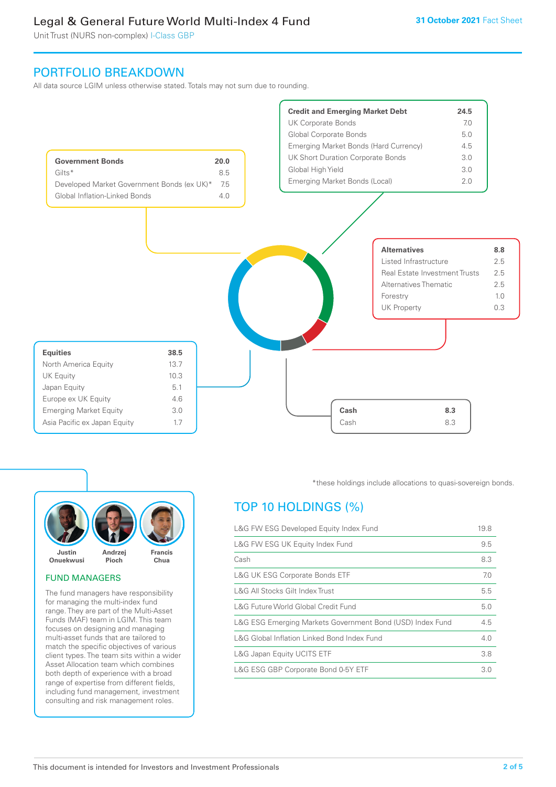Unit Trust (NURS non-complex) I-Class GBP

# PORTFOLIO BREAKDOWN

All data source LGIM unless otherwise stated. Totals may not sum due to rounding.





#### FUND MANAGERS

The fund managers have responsibility for managing the multi-index fund range. They are part of the Multi-Asset Funds (MAF) team in LGIM. This team focuses on designing and managing multi-asset funds that are tailored to match the specific objectives of various client types. The team sits within a wider Asset Allocation team which combines both depth of experience with a broad range of expertise from different fields, including fund management, investment consulting and risk management roles.

\*these holdings include allocations to quasi-sovereign bonds.

# TOP 10 HOLDINGS (%)

| L&G FW ESG Developed Equity Index Fund                    |     |
|-----------------------------------------------------------|-----|
| L&G FW ESG UK Equity Index Fund                           | 9.5 |
| Cash                                                      | 8.3 |
| <b>L&amp;G UK ESG Corporate Bonds ETF</b>                 | 7.0 |
| L&G All Stocks Gilt Index Trust                           | 5.5 |
| L&G Future World Global Credit Fund                       | 5.0 |
| L&G ESG Emerging Markets Government Bond (USD) Index Fund | 4.5 |
| L&G Global Inflation Linked Bond Index Fund               | 4.0 |
| L&G Japan Equity UCITS ETF                                | 3.8 |
| L&G ESG GBP Corporate Bond 0-5Y ETF                       | 3.0 |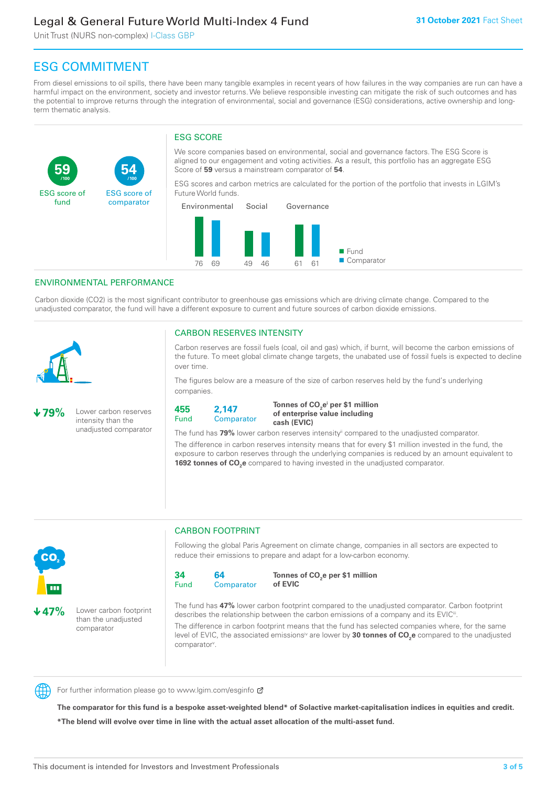Unit Trust (NURS non-complex) I-Class GBP

**54**

ESG score of comparator

# ESG COMMITMENT

From diesel emissions to oil spills, there have been many tangible examples in recent years of how failures in the way companies are run can have a harmful impact on the environment, society and investor returns. We believe responsible investing can mitigate the risk of such outcomes and has the potential to improve returns through the integration of environmental, social and governance (ESG) considerations, active ownership and longterm thematic analysis.

#### ESG SCORE

We score companies based on environmental, social and governance factors. The ESG Score is aligned to our engagement and voting activities. As a result, this portfolio has an aggregate ESG Score of **59** versus a mainstream comparator of **54**.

ESG scores and carbon metrics are calculated for the portion of the portfolio that invests in LGIM's Future World funds.



#### ENVIRONMENTAL PERFORMANCE

**/100 /100**

Carbon dioxide (CO2) is the most significant contributor to greenhouse gas emissions which are driving climate change. Compared to the unadjusted comparator, the fund will have a different exposure to current and future sources of carbon dioxide emissions.



**59**

ESG score of fund

#### CARBON RESERVES INTENSITY

Carbon reserves are fossil fuels (coal, oil and gas) which, if burnt, will become the carbon emissions of the future. To meet global climate change targets, the unabated use of fossil fuels is expected to decline over time.

The figures below are a measure of the size of carbon reserves held by the fund's underlying companies.

**79%** Lower carbon reserves intensity than the unadjusted comparator



Tonnes of CO<sub>2</sub>e<sup>i</sup> per \$1 million **of enterprise value including cash (EVIC)**

The fund has 79% lower carbon reserves intensity<sup>ii</sup> compared to the unadjusted comparator.

The difference in carbon reserves intensity means that for every \$1 million invested in the fund, the exposure to carbon reserves through the underlying companies is reduced by an amount equivalent to **1692 tonnes of CO<sub>2</sub>e** compared to having invested in the unadjusted comparator.



**47%** Lower carbon footprint than the unadjusted comparator

# CARBON FOOTPRINT

Following the global Paris Agreement on climate change, companies in all sectors are expected to reduce their emissions to prepare and adapt for a low-carbon economy.



**Tonnes of CO2 e per \$1 million of EVIC**

The fund has **47%** lower carbon footprint compared to the unadjusted comparator. Carbon footprint describes the relationship between the carbon emissions of a company and its EVIC<sup>ii</sup>.

The difference in carbon footprint means that the fund has selected companies where, for the same level of EVIC, the associated emissions<sup>iv</sup> are lower by **30 tonnes of CO<sub>2</sub>e** compared to the unadjusted comparator<sup>v</sup>.



For further information please go to www.lgim.com/esginfo Ø

**The comparator for this fund is a bespoke asset-weighted blend\* of Solactive market-capitalisation indices in equities and credit. \*The blend will evolve over time in line with the actual asset allocation of the multi-asset fund.**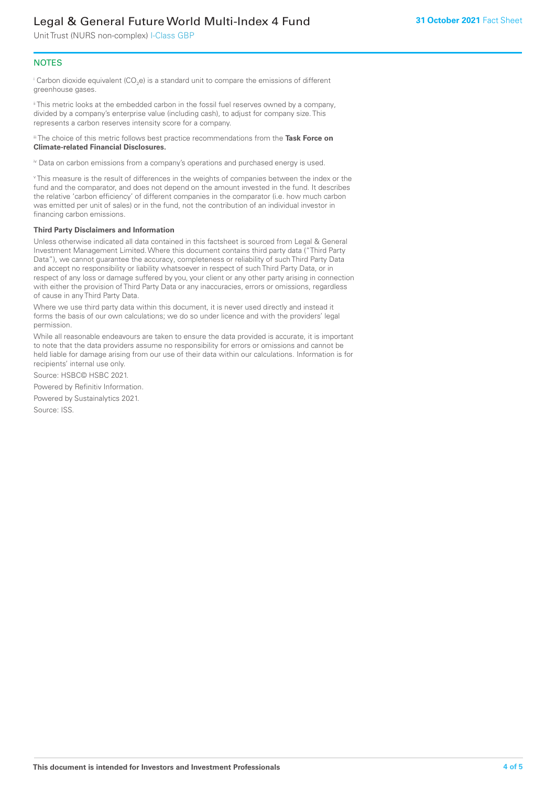Unit Trust (NURS non-complex) I-Class GBP

#### **NOTES**

 $^\mathrm{i}$  Carbon dioxide equivalent (CO<sub>2</sub>e) is a standard unit to compare the emissions of different greenhouse gases.

ii This metric looks at the embedded carbon in the fossil fuel reserves owned by a company, divided by a company's enterprise value (including cash), to adjust for company size. This represents a carbon reserves intensity score for a company.

iii The choice of this metric follows best practice recommendations from the **Task Force on Climate-related Financial Disclosures.**

iv Data on carbon emissions from a company's operations and purchased energy is used.

v This measure is the result of differences in the weights of companies between the index or the fund and the comparator, and does not depend on the amount invested in the fund. It describes the relative 'carbon efficiency' of different companies in the comparator (i.e. how much carbon was emitted per unit of sales) or in the fund, not the contribution of an individual investor in financing carbon emissions.

#### **Third Party Disclaimers and Information**

Unless otherwise indicated all data contained in this factsheet is sourced from Legal & General Investment Management Limited. Where this document contains third party data ("Third Party Data"), we cannot guarantee the accuracy, completeness or reliability of such Third Party Data and accept no responsibility or liability whatsoever in respect of such Third Party Data, or in respect of any loss or damage suffered by you, your client or any other party arising in connection with either the provision of Third Party Data or any inaccuracies, errors or omissions, regardless of cause in any Third Party Data.

Where we use third party data within this document, it is never used directly and instead it forms the basis of our own calculations; we do so under licence and with the providers' legal permission.

While all reasonable endeavours are taken to ensure the data provided is accurate, it is important to note that the data providers assume no responsibility for errors or omissions and cannot be held liable for damage arising from our use of their data within our calculations. Information is for recipients' internal use only.

Source: HSBC© HSBC 2021.

Powered by Refinitiv Information.

Powered by Sustainalytics 2021.

Source: ISS.